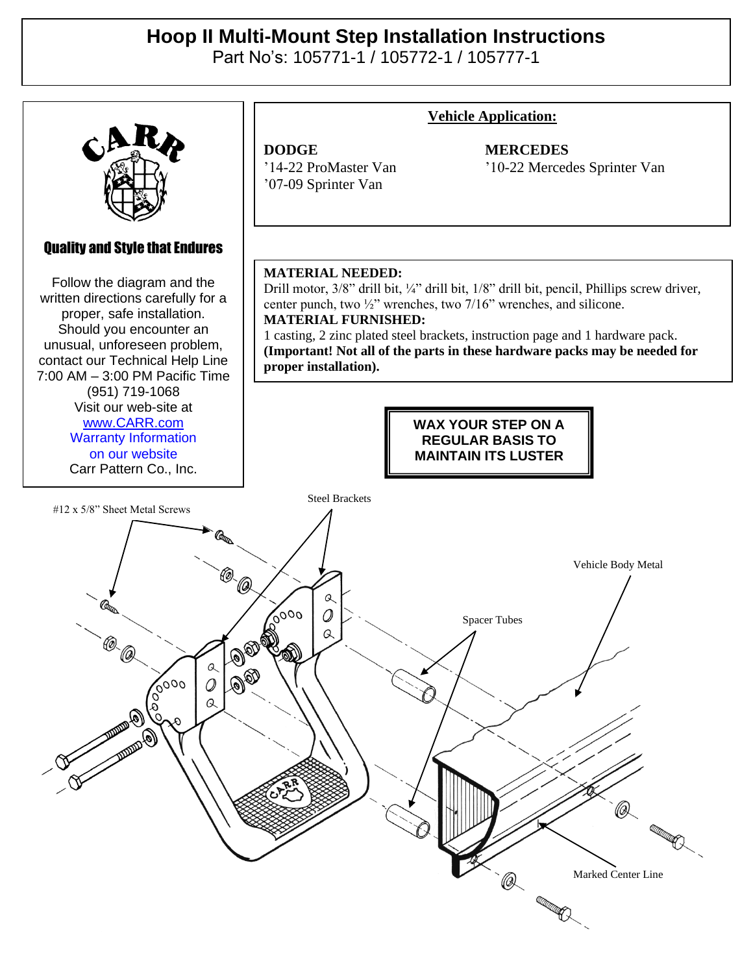## **Hoop II Multi-Mount Step Installation Instructions**

Part No's: 105771-1 / 105772-1 / 105777-1